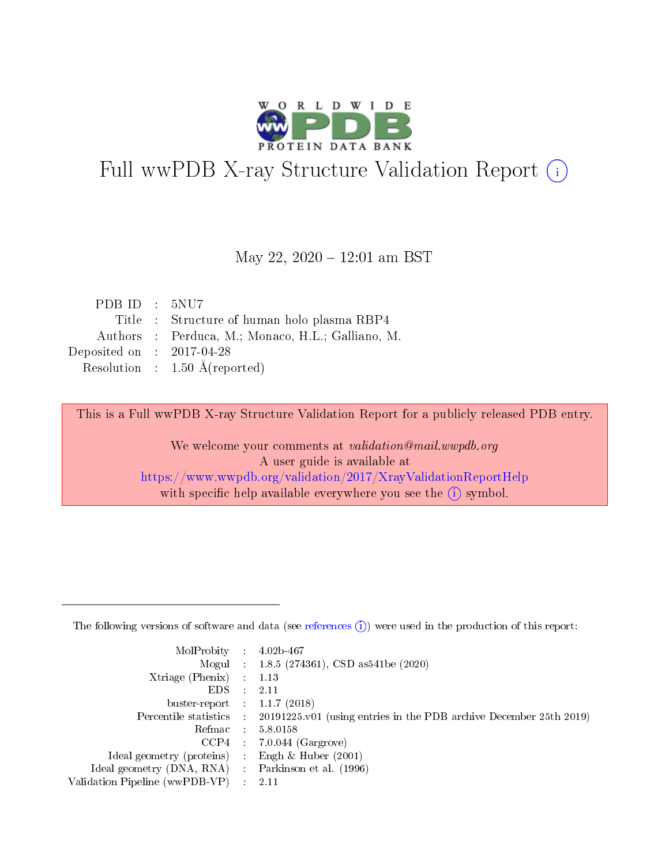

# Full wwPDB X-ray Structure Validation Report (i)

#### May 22, 2020 - 12:01 am BST

| PDBID : 5NU7                |                                                   |
|-----------------------------|---------------------------------------------------|
|                             | Title : Structure of human holo plasma RBP4       |
|                             | Authors : Perduca, M.; Monaco, H.L.; Galliano, M. |
| Deposited on : $2017-04-28$ |                                                   |
|                             | Resolution : $1.50 \text{ Å}$ (reported)          |

This is a Full wwPDB X-ray Structure Validation Report for a publicly released PDB entry.

We welcome your comments at validation@mail.wwpdb.org A user guide is available at <https://www.wwpdb.org/validation/2017/XrayValidationReportHelp> with specific help available everywhere you see the  $(i)$  symbol.

The following versions of software and data (see [references](https://www.wwpdb.org/validation/2017/XrayValidationReportHelp#references)  $(1)$ ) were used in the production of this report:

| MolProbity :                   |               | $4.02b - 467$                                                               |
|--------------------------------|---------------|-----------------------------------------------------------------------------|
|                                |               | Mogul : $1.8.5$ (274361), CSD as 541be (2020)                               |
| $X$ triage (Phenix) :          |               | 1.13                                                                        |
| EDS.                           |               | 2.11                                                                        |
| buster-report : $1.1.7$ (2018) |               |                                                                             |
| Percentile statistics :        |               | $20191225 \text{v}01$ (using entries in the PDB archive December 25th 2019) |
| Refmac :                       |               | 5.8.0158                                                                    |
| $CCP4$ :                       |               | $7.0.044$ (Gargrove)                                                        |
| Ideal geometry (proteins) :    |               | Engh $\&$ Huber (2001)                                                      |
| Ideal geometry (DNA, RNA) :    |               | Parkinson et al. (1996)                                                     |
| Validation Pipeline (wwPDB-VP) | $\mathcal{L}$ | 2.11                                                                        |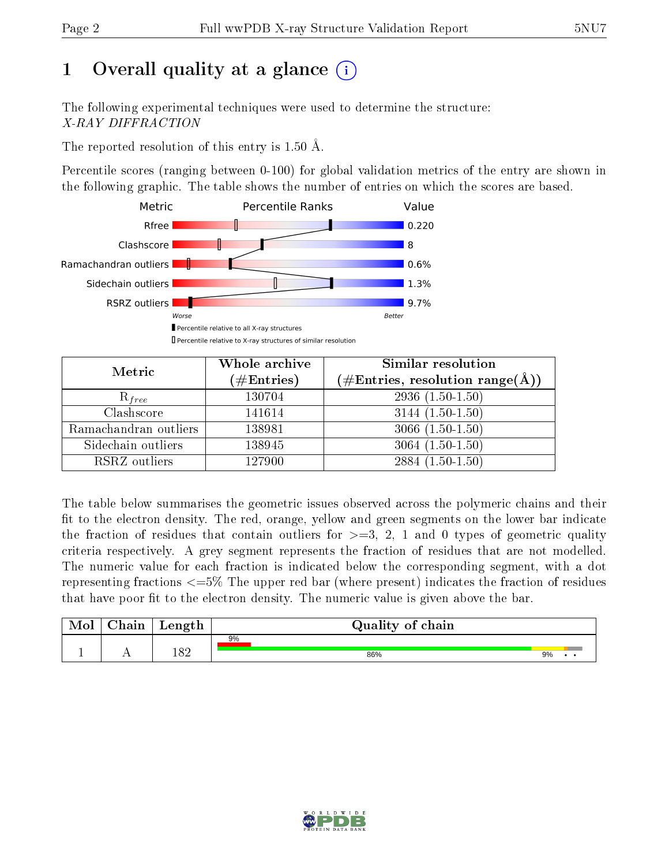# 1 [O](https://www.wwpdb.org/validation/2017/XrayValidationReportHelp#overall_quality)verall quality at a glance  $(i)$

The following experimental techniques were used to determine the structure: X-RAY DIFFRACTION

The reported resolution of this entry is 1.50 Å.

Percentile scores (ranging between 0-100) for global validation metrics of the entry are shown in the following graphic. The table shows the number of entries on which the scores are based.



| Metric                | Whole archive<br>$(\#\text{Entries})$ | Similar resolution<br>$(\#\text{Entries},\,\text{resolution}\,\,\text{range}(\textup{\AA}))$ |
|-----------------------|---------------------------------------|----------------------------------------------------------------------------------------------|
| $R_{free}$            | 130704                                | $2936(1.50-1.50)$                                                                            |
| Clashscore            | 141614                                | $3144(1.50-1.50)$                                                                            |
| Ramachandran outliers | 138981                                | $3066(1.50-1.50)$                                                                            |
| Sidechain outliers    | 138945                                | $3064(1.50-1.50)$                                                                            |
| RSRZ outliers         | 127900                                | $2884(1.50-1.50)$                                                                            |

The table below summarises the geometric issues observed across the polymeric chains and their fit to the electron density. The red, orange, yellow and green segments on the lower bar indicate the fraction of residues that contain outliers for  $>=3, 2, 1$  and 0 types of geometric quality criteria respectively. A grey segment represents the fraction of residues that are not modelled. The numeric value for each fraction is indicated below the corresponding segment, with a dot representing fractions <=5% The upper red bar (where present) indicates the fraction of residues that have poor fit to the electron density. The numeric value is given above the bar.

| Mol           | nin<br>паш | Length | Quality of chain |    |
|---------------|------------|--------|------------------|----|
|               |            |        | 9%               |    |
| <u>. на п</u> | . .        | 182    | 86%              | 9% |

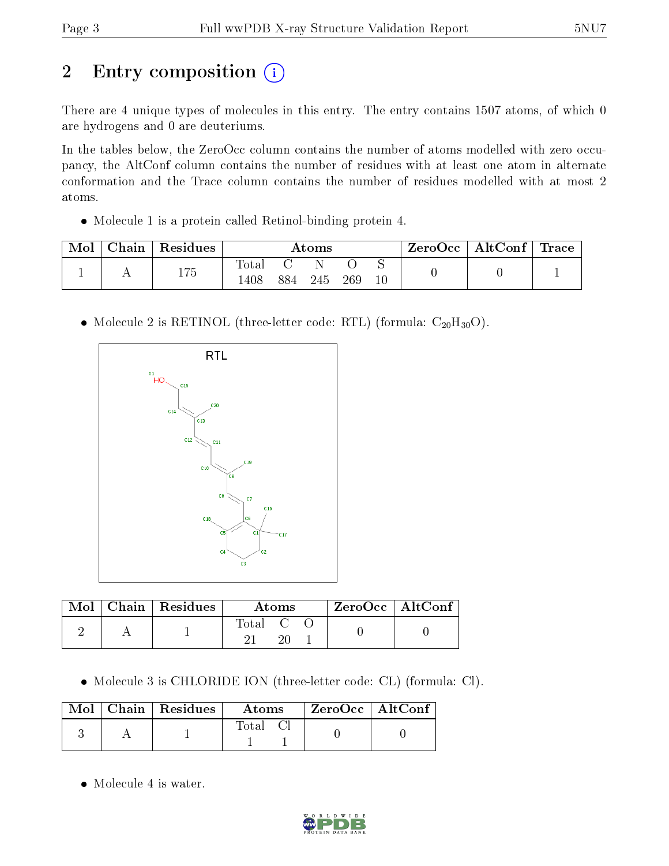# 2 Entry composition (i)

There are 4 unique types of molecules in this entry. The entry contains 1507 atoms, of which 0 are hydrogens and 0 are deuteriums.

In the tables below, the ZeroOcc column contains the number of atoms modelled with zero occupancy, the AltConf column contains the number of residues with at least one atom in alternate conformation and the Trace column contains the number of residues modelled with at most 2 atoms.

Molecule 1 is a protein called Retinol-binding protein 4.

| Mol | Chain | $\mathop{\mathsf{Residues}}$ | Atoms |     |     | ZeroOcc | $\mid$ AltConf $\mid$ Trace |  |  |  |
|-----|-------|------------------------------|-------|-----|-----|---------|-----------------------------|--|--|--|
|     |       | 175                          | Total |     |     |         |                             |  |  |  |
|     |       |                              | 408   | 884 | 245 | 269     |                             |  |  |  |

• Molecule 2 is RETINOL (three-letter code: RTL) (formula:  $C_{20}H_{30}O$ ).



|  | $\text{Mol}$   Chain   Residues | Atoms                                                    |  |  | $ZeroOcc$   AltConf |  |
|--|---------------------------------|----------------------------------------------------------|--|--|---------------------|--|
|  |                                 | $\begin{array}{ccc} \text{Total} & \text{C} \end{array}$ |  |  |                     |  |

Molecule 3 is CHLORIDE ION (three-letter code: CL) (formula: Cl).

|  | $\text{Mol}$   Chain   Residues | Atoms | $^{\shortmid}$ ZeroOcc $\mid$ AltConf $^{\shortmid}$ |  |
|--|---------------------------------|-------|------------------------------------------------------|--|
|  |                                 | Total |                                                      |  |

• Molecule 4 is water.

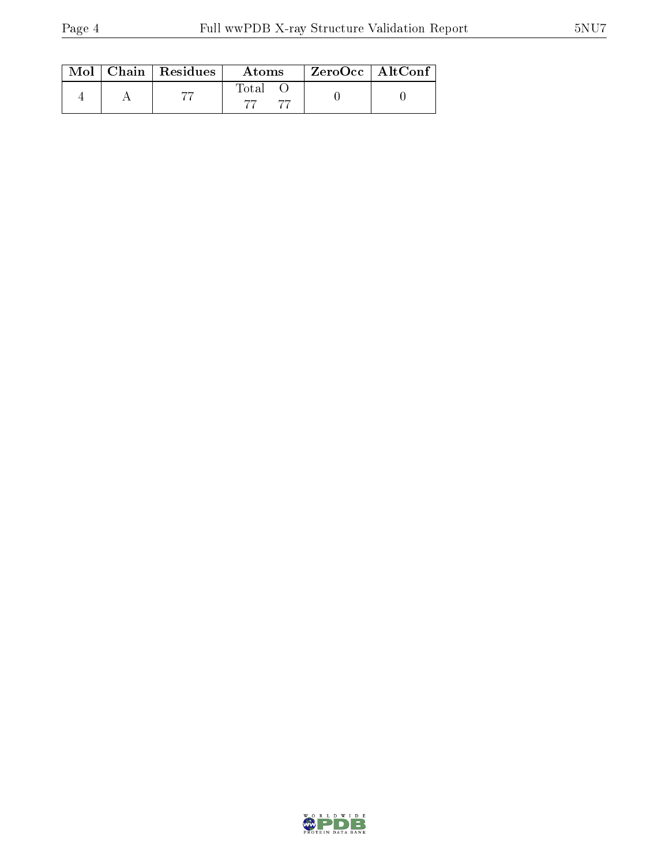|  | $\text{Mol}$   Chain   Residues | Atoms | $ZeroOcc \mid AltConf \mid$ |  |
|--|---------------------------------|-------|-----------------------------|--|
|  |                                 | Total |                             |  |

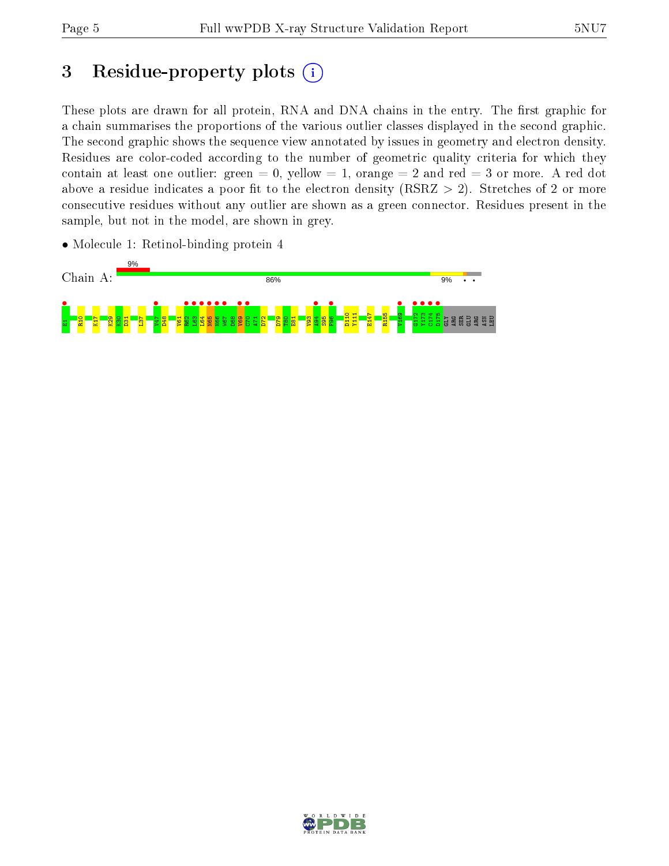## 3 Residue-property plots  $(i)$

These plots are drawn for all protein, RNA and DNA chains in the entry. The first graphic for a chain summarises the proportions of the various outlier classes displayed in the second graphic. The second graphic shows the sequence view annotated by issues in geometry and electron density. Residues are color-coded according to the number of geometric quality criteria for which they contain at least one outlier: green  $= 0$ , yellow  $= 1$ , orange  $= 2$  and red  $= 3$  or more. A red dot above a residue indicates a poor fit to the electron density (RSRZ  $> 2$ ). Stretches of 2 or more consecutive residues without any outlier are shown as a green connector. Residues present in the sample, but not in the model, are shown in grey.

• Molecule 1: Retinol-binding protein 4



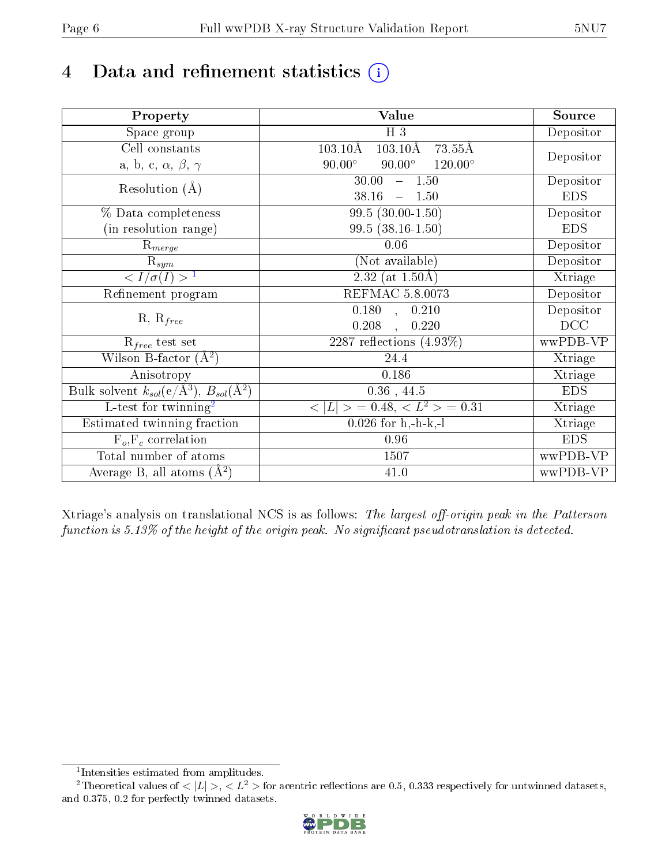# 4 Data and refinement statistics  $(i)$

| Property                                                             | Value                                                         | Source     |
|----------------------------------------------------------------------|---------------------------------------------------------------|------------|
| Space group                                                          | $H_3$                                                         | Depositor  |
| Cell constants                                                       | $103.10\text{\AA}$<br>$103.10\text{\AA}$<br>$73.55\text{\AA}$ |            |
| a, b, c, $\alpha$ , $\beta$ , $\gamma$                               | $120.00^{\circ}$<br>$90.00^\circ$<br>$90.00^\circ$            | Depositor  |
| Resolution $(A)$                                                     | 30.00<br>$-1.50$                                              | Depositor  |
|                                                                      | 38.16<br>$-1.50$                                              | <b>EDS</b> |
| % Data completeness                                                  | $99.5(30.00-1.50)$                                            | Depositor  |
| (in resolution range)                                                | $99.5(38.16-1.50)$                                            | <b>EDS</b> |
| $R_{merge}$                                                          | 0.06                                                          | Depositor  |
| $\mathrm{R}_{sym}$                                                   | (Not available)                                               | Depositor  |
| $\langle I/\sigma(I) \rangle^{-1}$                                   | $2.32$ (at $1.50\text{\AA}$ )                                 | Xtriage    |
| Refinement program                                                   | REFMAC 5.8.0073                                               | Depositor  |
|                                                                      | $\overline{0.180}$ ,<br>0.210                                 | Depositor  |
| $R, R_{free}$                                                        | 0.208<br>0.220                                                | DCC        |
| $R_{free}$ test set                                                  | 2287 reflections $(4.93\%)$                                   | wwPDB-VP   |
| Wilson B-factor $(A^2)$                                              | 24.4                                                          | Xtriage    |
| Anisotropy                                                           | 0.186                                                         | Xtriage    |
| Bulk solvent $k_{sol}(e/\mathring{A}^3)$ , $B_{sol}(\mathring{A}^2)$ | $0.36$ , 44.5                                                 | <b>EDS</b> |
| L-test for twinning <sup>2</sup>                                     | $\vert > \; = 0.48, \;  \; = 0.31$<br>< L                     | Xtriage    |
| Estimated twinning fraction                                          | $0.026$ for h,-h-k,-l                                         | Xtriage    |
| $F_o, F_c$ correlation                                               | 0.96                                                          | <b>EDS</b> |
| Total number of atoms                                                | 1507                                                          | wwPDB-VP   |
| Average B, all atoms $(A^2)$                                         | 41.0                                                          | wwPDB-VP   |

Xtriage's analysis on translational NCS is as follows: The largest off-origin peak in the Patterson function is  $5.13\%$  of the height of the origin peak. No significant pseudotranslation is detected.

<sup>&</sup>lt;sup>2</sup>Theoretical values of  $\langle |L| \rangle$ ,  $\langle L^2 \rangle$  for acentric reflections are 0.5, 0.333 respectively for untwinned datasets, and 0.375, 0.2 for perfectly twinned datasets.



<span id="page-5-1"></span><span id="page-5-0"></span><sup>1</sup> Intensities estimated from amplitudes.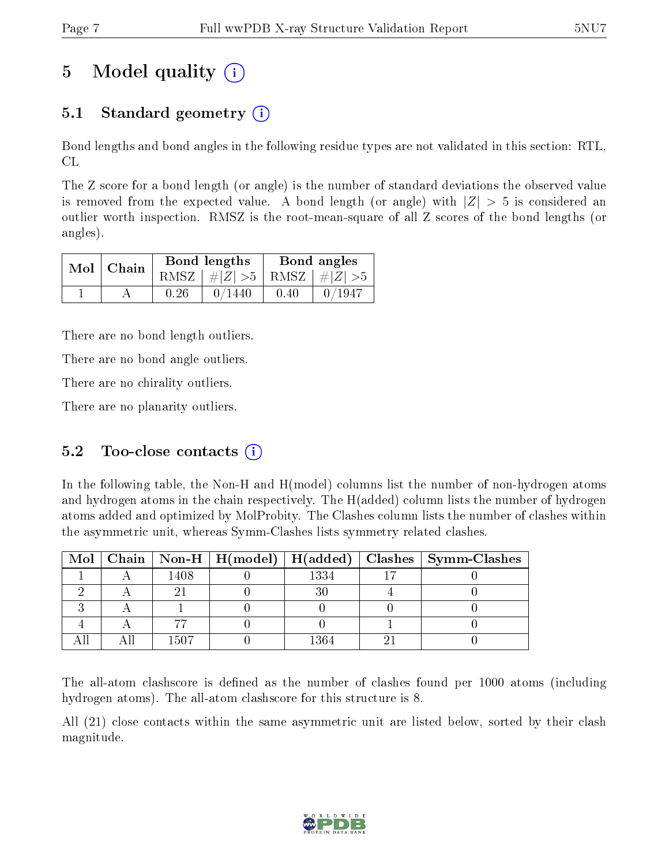## 5 Model quality  $(i)$

## 5.1 Standard geometry  $(i)$

Bond lengths and bond angles in the following residue types are not validated in this section: RTL, CL

The Z score for a bond length (or angle) is the number of standard deviations the observed value is removed from the expected value. A bond length (or angle) with  $|Z| > 5$  is considered an outlier worth inspection. RMSZ is the root-mean-square of all Z scores of the bond lengths (or angles).

|  | $Mol$   Chain |      | Bond lengths                    | Bond angles |        |  |
|--|---------------|------|---------------------------------|-------------|--------|--|
|  |               |      | RMSZ $ #Z  > 5$ RMSZ $ #Z  > 5$ |             |        |  |
|  |               | 0.26 | 0/1440                          | 0.40        | 0/1947 |  |

There are no bond length outliers.

There are no bond angle outliers.

There are no chirality outliers.

There are no planarity outliers.

### 5.2 Too-close contacts  $(i)$

In the following table, the Non-H and H(model) columns list the number of non-hydrogen atoms and hydrogen atoms in the chain respectively. The H(added) column lists the number of hydrogen atoms added and optimized by MolProbity. The Clashes column lists the number of clashes within the asymmetric unit, whereas Symm-Clashes lists symmetry related clashes.

|  |      |      | Mol   Chain   Non-H   H(model)   H(added)   Clashes   Symm-Clashes |
|--|------|------|--------------------------------------------------------------------|
|  | 1408 | 1334 |                                                                    |
|  |      |      |                                                                    |
|  |      |      |                                                                    |
|  |      |      |                                                                    |
|  | 1507 | 1364 |                                                                    |

The all-atom clashscore is defined as the number of clashes found per 1000 atoms (including hydrogen atoms). The all-atom clashscore for this structure is 8.

All (21) close contacts within the same asymmetric unit are listed below, sorted by their clash magnitude.

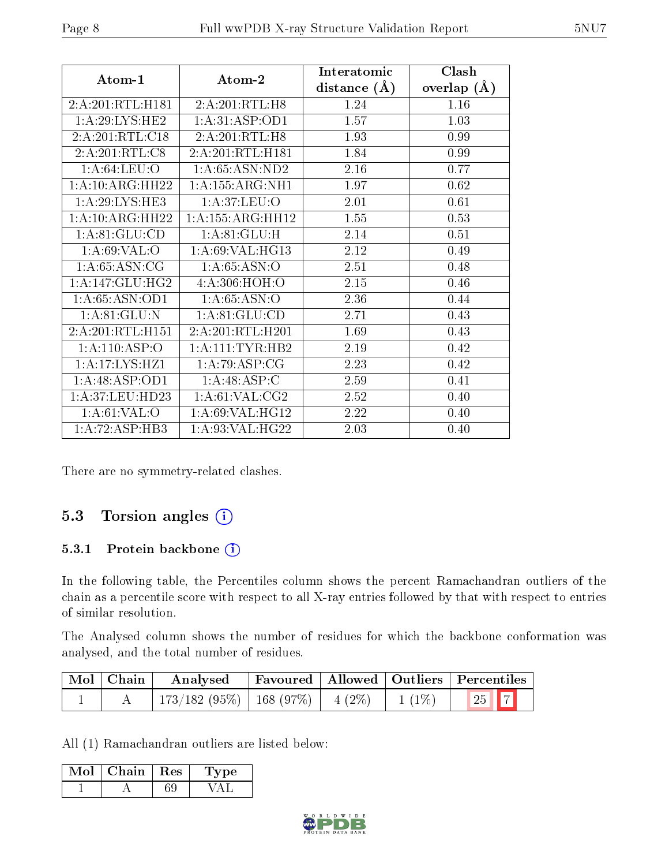|                              |                              | Interatomic    | Clash           |
|------------------------------|------------------------------|----------------|-----------------|
| Atom-1                       | Atom-2                       | distance $(A)$ | overlap $(\AA)$ |
| 2:A:201:RTL:H181             | 2:A:201:RTL:H8               | 1.24           | 1.16            |
| 1: A:29: LYS: HE2            | 1:A:31:ASP:OD1               | 1.57           | 1.03            |
| 2:A:201:RTL:C18              | 2:A:201:RTL:H8               | 1.93           | 0.99            |
| $2:A:201:RTL: \overline{C8}$ | 2:A:201:RTL:H181             | 1.84           | 0.99            |
| 1: A:64:LEU:O                | 1: A:65: ASN:ND2             | 2.16           | 0.77            |
| 1:A:10:ARG:HH22              | 1: A: 155: ARG: NH1          | 1.97           | 0.62            |
| 1:A:29:LYS:HE3               | 1: A:37: LEU:O               | 2.01           | 0.61            |
| 1:A:10:ARG:HH22              | 1:A:155:ARG:HH12             | 1.55           | 0.53            |
| 1: A:81: GLU:CD              | 1: A:81: GLU:H               | 2.14           | 0.51            |
| 1: A:69: VAL:O               | 1: A:69: VAL: HG13           | 2.12           | 0.49            |
| 1: A:65: ASN:CG              | 1: A:65: ASN:O               | 2.51           | 0.48            |
| 1: A:147: GLU:HG2            | 4: A:306:HOH:O               | 2.15           | 0.46            |
| 1:A:65:ASN:OD1               | 1: A:65: ASN:O               | 2.36           | 0.44            |
| 1: A:81: GLU:N               | 1:A:81:GLU:CD                | 2.71           | 0.43            |
| 2:A:201:RTL:H151             | 2:A:201:RTL:H201             | 1.69           | 0.43            |
| 1:A:110:ASP:O                | 1: A: 111: TYR: HB2          | 2.19           | 0.42            |
| 1:A:17:LYS:HZ1               | 1:A:79:ASP:CG                | 2.23           | 0.42            |
| 1: A:48: ASP:OD1             | 1: A:48: ASP:C               | 2.59           | 0.41            |
| 1:A:37:LEU:HD23              | 1: A:61:VAL: C <sub>G2</sub> | 2.52           | 0.40            |
| 1: A:61:VAL:O                | 1: A:69: VAL: HG12           | 2.22           | 0.40            |
| 1:A:72:ASP:HB3               | 1: A:93: VAL: HG22           | 2.03           | 0.40            |

There are no symmetry-related clashes.

### 5.3 Torsion angles  $(i)$

#### 5.3.1 Protein backbone (i)

In the following table, the Percentiles column shows the percent Ramachandran outliers of the chain as a percentile score with respect to all X-ray entries followed by that with respect to entries of similar resolution.

The Analysed column shows the number of residues for which the backbone conformation was analysed, and the total number of residues.

| $\mid$ Mol $\mid$ Chain | Analysed                                |  |                    | Favoured   Allowed   Outliers   Percentiles |
|-------------------------|-----------------------------------------|--|--------------------|---------------------------------------------|
|                         | $173/182$ (95\%)   168 (97\%)   4 (2\%) |  | $\frac{1}{1(1\%)}$ | $\boxed{25}$ $\boxed{7}$                    |

All (1) Ramachandran outliers are listed below:

| Mol | Chain | Res | vpe |
|-----|-------|-----|-----|
|     |       |     |     |

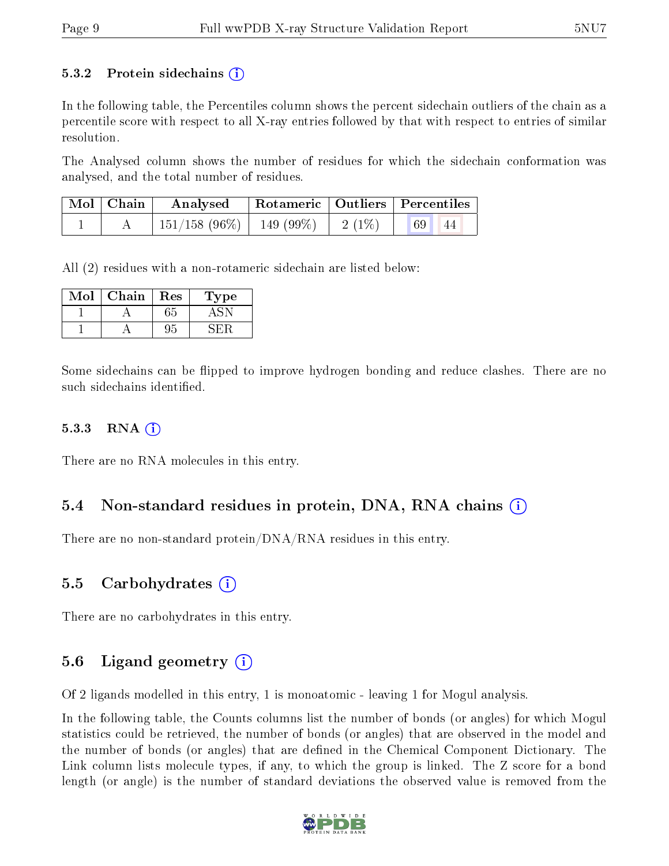#### 5.3.2 Protein sidechains  $\left( \widehat{\mathbf{i}} \right)$

In the following table, the Percentiles column shows the percent sidechain outliers of the chain as a percentile score with respect to all X-ray entries followed by that with respect to entries of similar resolution.

The Analysed column shows the number of residues for which the sidechain conformation was analysed, and the total number of residues.

| $\mid$ Mol $\mid$ Chain | $\bold{Analysed}$                       | Rotameric   Outliers   Percentiles |           |  |
|-------------------------|-----------------------------------------|------------------------------------|-----------|--|
|                         | $151/158$ (96\%)   149 (99\%)   2 (1\%) |                                    | 69 <br>44 |  |

All (2) residues with a non-rotameric sidechain are listed below:

| Mol | Chain | $\operatorname{Res}% \left( \mathcal{N}\right) \equiv\operatorname{Res}(\mathcal{N}_{0},\mathcal{N}_{0})$ | ype |
|-----|-------|-----------------------------------------------------------------------------------------------------------|-----|
|     |       | 55                                                                                                        |     |
|     |       |                                                                                                           |     |

Some sidechains can be flipped to improve hydrogen bonding and reduce clashes. There are no such sidechains identified.

#### $5.3.3$  RNA  $(i)$

There are no RNA molecules in this entry.

#### 5.4 Non-standard residues in protein, DNA, RNA chains (i)

There are no non-standard protein/DNA/RNA residues in this entry.

#### 5.5 Carbohydrates (i)

There are no carbohydrates in this entry.

#### 5.6 Ligand geometry  $(i)$

Of 2 ligands modelled in this entry, 1 is monoatomic - leaving 1 for Mogul analysis.

In the following table, the Counts columns list the number of bonds (or angles) for which Mogul statistics could be retrieved, the number of bonds (or angles) that are observed in the model and the number of bonds (or angles) that are defined in the Chemical Component Dictionary. The Link column lists molecule types, if any, to which the group is linked. The Z score for a bond length (or angle) is the number of standard deviations the observed value is removed from the

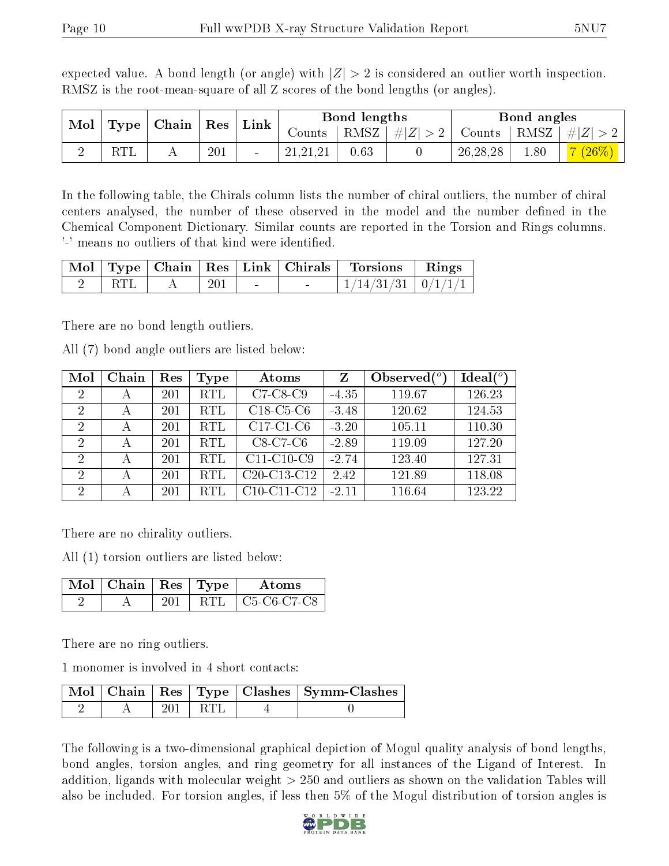| RMSZ is the root-mean-square of all Z scores of the bond lengths (or angles). |  |                                                                   |  |              |  |                                                                   |  |             |  |
|-------------------------------------------------------------------------------|--|-------------------------------------------------------------------|--|--------------|--|-------------------------------------------------------------------|--|-------------|--|
|                                                                               |  | $\mid$ Mol $\mid$ Type $\mid$ Chain $\mid$ Res $\mid$ Link $\mid$ |  | Bond lengths |  |                                                                   |  | Bond angles |  |
|                                                                               |  |                                                                   |  |              |  | Counts   RMSZ $\mid \#  Z  > 2$   Counts   RMSZ $\mid \#  Z  > 2$ |  |             |  |

2 RTL A 201 - 21,21,21 0.63 0 26,28,28 1.80 7 (26%)

expected value. A bond length (or angle) with  $|Z| > 2$  is considered an outlier worth inspection. RMSZ is the root-mean-square of all Z scores of the bond lengths (or angles).

In the following table, the Chirals column lists the number of chiral outliers, the number of chiral centers analysed, the number of these observed in the model and the number defined in the Chemical Component Dictionary. Similar counts are reported in the Torsion and Rings columns. '-' means no outliers of that kind were identified.

|  |     |        | Mol   Type   Chain   Res   Link   Chirals   Torsions   Rings |  |
|--|-----|--------|--------------------------------------------------------------|--|
|  | 201 | $\sim$ | $+1/14/31/31 + 0/1/1/1$                                      |  |

There are no bond length outliers.

All (7) bond angle outliers are listed below:

| Mol            | Chain | Res | Type       | Atoms                                             | Z       | Observed $(°)$ | $Ideal(^o)$ |
|----------------|-------|-----|------------|---------------------------------------------------|---------|----------------|-------------|
| $\overline{2}$ | А     | 201 | <b>RTL</b> | $C7-C8-C9$                                        | $-4.35$ | 119.67         | 126.23      |
| $\overline{2}$ | А     | 201 | <b>RTL</b> | $C18-C5-C6$                                       | $-3.48$ | 120.62         | 124.53      |
| $\overline{2}$ | А     | 201 | <b>RTL</b> | $C17-C1-C6$                                       | $-3.20$ | 105.11         | 110.30      |
| $\overline{2}$ | А     | 201 | <b>RTL</b> | $C8-C7-C6$                                        | $-2.89$ | 119.09         | 127.20      |
| $\overline{2}$ | А     | 201 | <b>RTL</b> | $C11-C10-C9$                                      | $-2.74$ | 123.40         | 127.31      |
| $\overline{2}$ | А     | 201 | <b>RTL</b> | C <sub>20</sub> -C <sub>13</sub> -C <sub>12</sub> | 2.42    | 121.89         | 118.08      |
| $\overline{2}$ |       | 201 | <b>RTL</b> | $C10-C11-C12$                                     | $-2.11$ | 116.64         | 123.22      |

There are no chirality outliers.

All (1) torsion outliers are listed below:

| $\sqrt{\text{Mol}}$   Chain   Res   Type |  | Atoms                                                          |
|------------------------------------------|--|----------------------------------------------------------------|
|                                          |  | C <sub>5</sub> -C <sub>6</sub> -C <sub>7</sub> -C <sub>8</sub> |

There are no ring outliers.

1 monomer is involved in 4 short contacts:

|  |       | Mol   Chain   Res   Type   Clashes   Symm-Clashes |
|--|-------|---------------------------------------------------|
|  | l RTI |                                                   |

The following is a two-dimensional graphical depiction of Mogul quality analysis of bond lengths, bond angles, torsion angles, and ring geometry for all instances of the Ligand of Interest. In addition, ligands with molecular weight > 250 and outliers as shown on the validation Tables will also be included. For torsion angles, if less then 5% of the Mogul distribution of torsion angles is

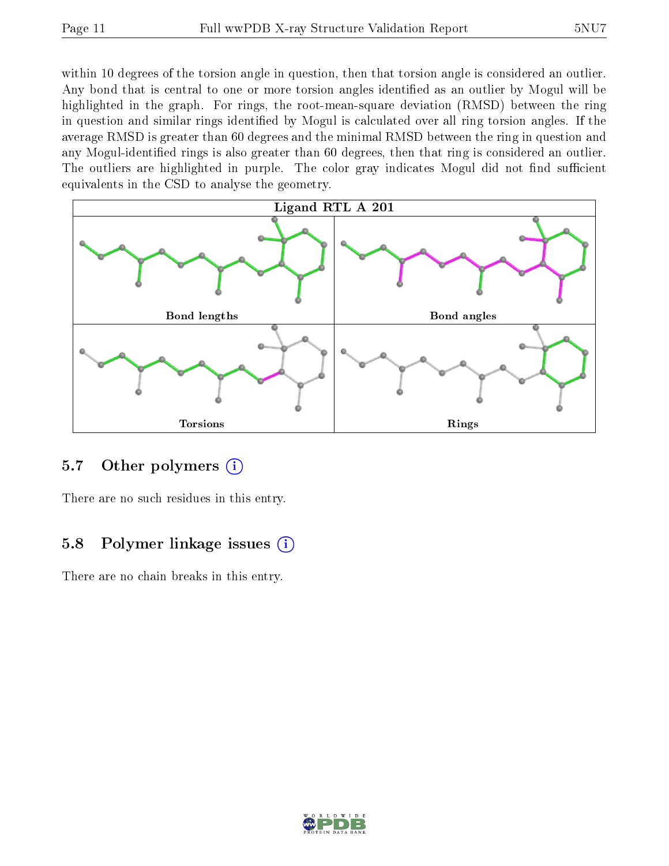within 10 degrees of the torsion angle in question, then that torsion angle is considered an outlier. Any bond that is central to one or more torsion angles identified as an outlier by Mogul will be highlighted in the graph. For rings, the root-mean-square deviation (RMSD) between the ring in question and similar rings identified by Mogul is calculated over all ring torsion angles. If the average RMSD is greater than 60 degrees and the minimal RMSD between the ring in question and any Mogul-identified rings is also greater than 60 degrees, then that ring is considered an outlier. The outliers are highlighted in purple. The color gray indicates Mogul did not find sufficient equivalents in the CSD to analyse the geometry.



#### 5.7 [O](https://www.wwpdb.org/validation/2017/XrayValidationReportHelp#nonstandard_residues_and_ligands)ther polymers (i)

There are no such residues in this entry.

### 5.8 Polymer linkage issues  $(i)$

There are no chain breaks in this entry.

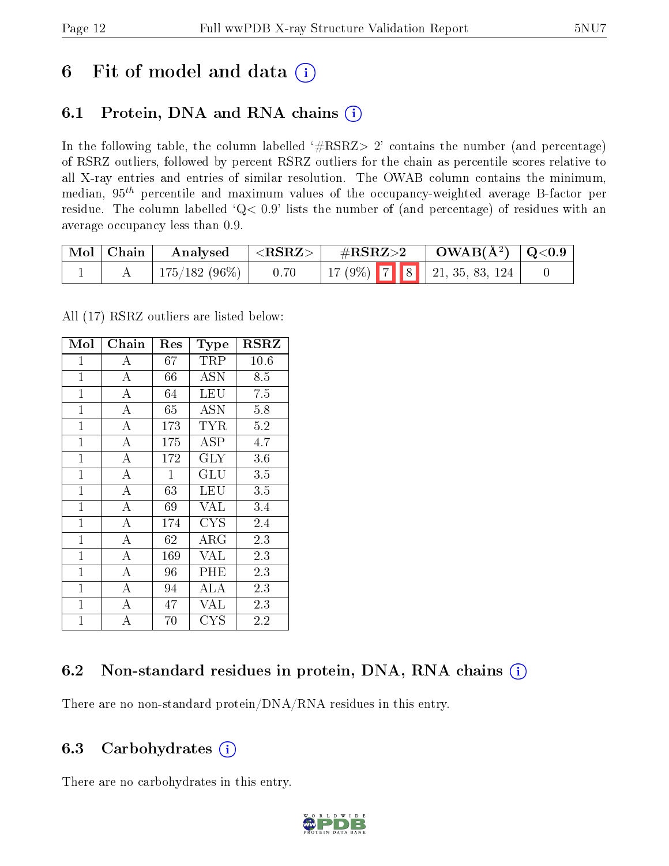## 6 Fit of model and data  $(i)$

## 6.1 Protein, DNA and RNA chains  $(i)$

In the following table, the column labelled  $#RSRZ> 2'$  contains the number (and percentage) of RSRZ outliers, followed by percent RSRZ outliers for the chain as percentile scores relative to all X-ray entries and entries of similar resolution. The OWAB column contains the minimum, median,  $95<sup>th</sup>$  percentile and maximum values of the occupancy-weighted average B-factor per residue. The column labelled ' $Q< 0.9$ ' lists the number of (and percentage) of residues with an average occupancy less than 0.9.

| Mol   Chain | $\boldsymbol{\mathrm{Analysed}}$ | $ \langle \text{RSRZ}\rangle $ |                                   | $\sqrt{\text{GRSZ}} > 2$ $\sqrt{\text{OWAB(A^2)} \cdot \text{Q}<0.9}$ |  |
|-------------|----------------------------------|--------------------------------|-----------------------------------|-----------------------------------------------------------------------|--|
|             | $175/182(96\%)$                  | 0.70                           | 17 (9%)   7   8   21, 35, 83, 124 |                                                                       |  |

All (17) RSRZ outliers are listed below:

| Mol            | Chain              | Res          | Type        | $_{\rm RSRZ}$ |
|----------------|--------------------|--------------|-------------|---------------|
| $\mathbf{1}$   | А                  | $67\,$       | TRP         | $10.6\,$      |
| $\mathbf{1}$   | А                  | 66           | ASN         | 8.5           |
| $\mathbf{1}$   | А                  | 64           | LEU         | 7.5           |
| $\mathbf{1}$   | А                  | 65           | <b>ASN</b>  | 5.8           |
| $\mathbf{1}$   | $\overline{\rm A}$ | 173          | <b>TYR</b>  | 5.2           |
| $\mathbf{1}$   | $\overline{A}$     | 175          | <b>ASP</b>  | 4.7           |
| $\mathbf{1}$   | $\overline{A}$     | 172          | $\rm GLY$   | 3.6           |
| $\mathbf{1}$   | $\overline{\rm A}$ | $\mathbf{1}$ | GLU         | 3.5           |
| $\mathbf{1}$   | $\overline{A}$     | 63           | LEU         | 3.5           |
| $\mathbf{1}$   | $\overline{\rm A}$ | 69           | <b>VAL</b>  | 3.4           |
| $\mathbf{1}$   | $\overline{A}$     | 174          | CYS         | 2.4           |
| $\overline{1}$ | A                  | 62           | $\rm{ARG}$  | 2.3           |
| $\overline{1}$ | $\overline{A}$     | 169          | <b>VAL</b>  | 2.3           |
| $\overline{1}$ | $\overline{A}$     | 96           | PHE         | 2.3           |
| $\mathbf{1}$   | $\bf{A}$           | 94           | ALA         | 2.3           |
| $\overline{1}$ | $\bf{A}$           | 47           | VAL         | 2.3           |
| $\mathbf 1$    | $\overline{A}$     | 70           | ${\rm CYS}$ | 2.2           |

### 6.2 Non-standard residues in protein, DNA, RNA chains (i)

There are no non-standard protein/DNA/RNA residues in this entry.

### 6.3 Carbohydrates  $(i)$

There are no carbohydrates in this entry.